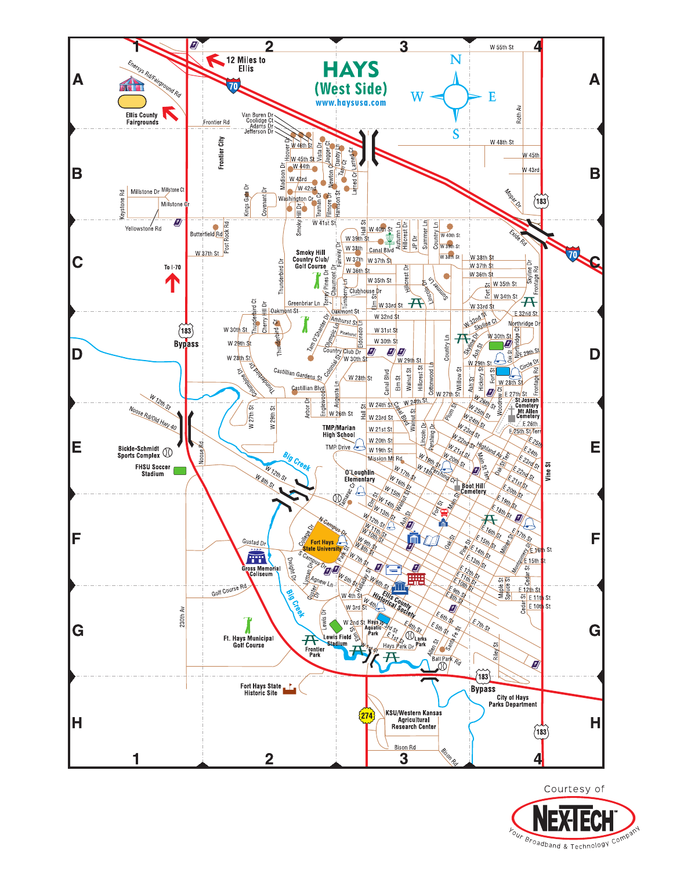

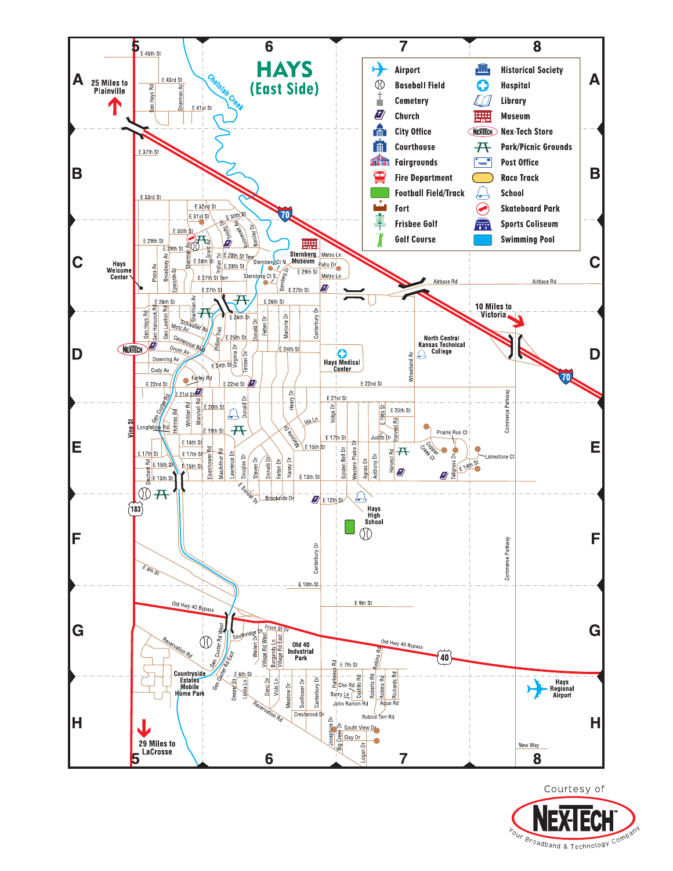

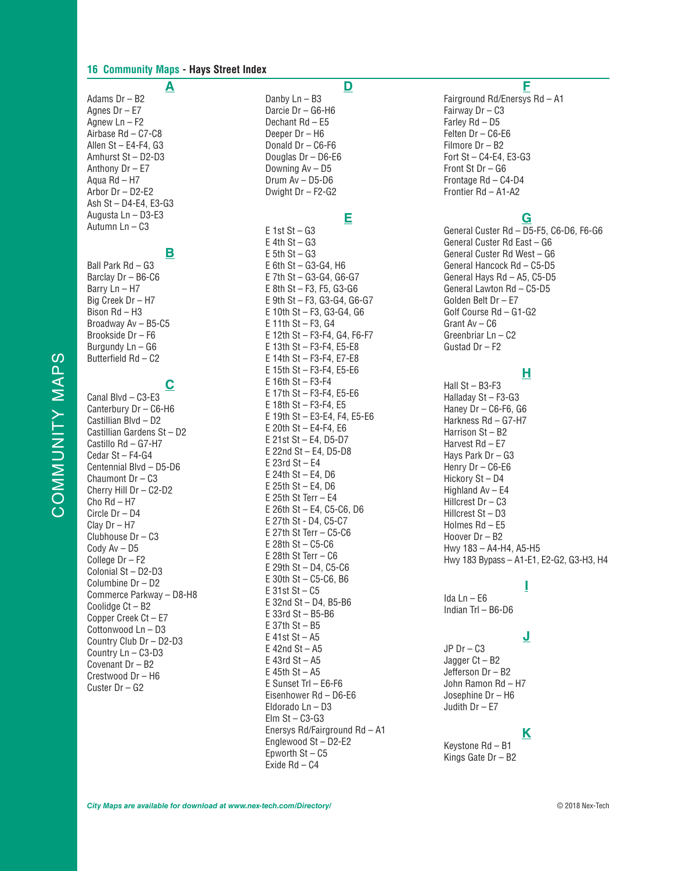#### **16 Community Maps - Hays Street Index**

**A** Adams Dr – B2 Agnes Dr – E7 Agnew Ln – F2 Airbase Rd – C7-C8 Allen St – E4-F4, G3 Amhurst St – D2-D3 Anthony Dr – E7 Aqua Rd – H7 Arbor Dr – D2-E2 Ash St – D4-E4, E3-G3 Augusta Ln – D3-E3 Autumn Ln – C3

# **B**

Ball Park Rd – G3 Barclay Dr – B6-C6 Barry Ln – H7 Big Creek Dr – H7 Bison Rd – H3 Broadway Av – B5-C5 Brookside Dr – F6 Burgundy Ln – G6 Butterfield Rd – C2

# **C**

Canal Blvd – C3-E3 Canterbury Dr – C6-H6 Castillian Blvd – D2 Castillian Gardens St – D2 Castillo Rd – G7-H7 Cedar St – F4-G4 Centennial Blvd – D5-D6 Chaumont Dr – C3 Cherry Hill Dr – C2-D2 Cho Rd – H7 Circle Dr – D4 Clay Dr – H7 Clubhouse Dr – C3 Cody Av – D5 College Dr – F2 Colonial St – D2-D3 Columbine Dr – D2 Commerce Parkway – D8-H8 Coolidge Ct – B2 Copper Creek Ct – E7 Cottonwood Ln – D3 Country Club Dr – D2-D3 Country Ln – C3-D3 Covenant Dr – B2 Crestwood Dr – H6 Custer Dr – G2

# **D**

Danby Ln – B3 Darcie Dr – G6-H6 Dechant Rd – E5 Deeper Dr – H6 Donald Dr – C6-F6 Douglas Dr – D6-E6 Downing Av – D5 Drum Av – D5-D6 Dwight Dr – F2-G2

# **E**

 $F$  1st St – G3  $E$  4th St – G3  $E$  5th St – G3 E 6th St – G3-G4, H6 E 7th St – G3-G4, G6-G7 E 8th St – F3, F5, G3-G6 E 9th St – F3, G3-G4, G6-G7 E 10th St – F3, G3-G4, G6 E 11th St – F3, G4 E 12th St – F3-F4, G4, F6-F7 E 13th St – F3-F4, E5-E8 E 14th St – F3-F4, E7-E8 E 15th St – F3-F4, E5-E6 E 16th St – F3-F4 E 17th St – F3-F4, E5-E6 E 18th St – F3-F4, E5 E 19th St – E3-E4, F4, E5-E6 E 20th St – E4-F4, E6 E 21st St – E4, D5-D7 E 22nd St – E4, D5-D8 E 23rd St – E4 E 24th St – E4, D6 E 25th St – E4, D6 E 25th St Terr – E4 E 26th St – E4, C5-C6, D6 E 27th St - D4, C5-C7 E 27th St Terr – C5-C6 E 28th St – C5-C6 E 28th St Terr – C6 E 29th St – D4, C5-C6 E 30th St – C5-C6, B6 E 31st St – C5 E 32nd St – D4, B5-B6 E 33rd St – B5-B6 E 37th St – B5 E 41st St – A5  $E$  42nd St – A5 E 43rd St  $-$  A5 E  $45th$  St – A5 E Sunset Trl – E6-F6 Eisenhower Rd – D6-E6 Eldorado Ln – D3 Elm  $St - C3-G3$ Enersys Rd/Fairground Rd – A1 Englewood St – D2-E2 Epworth  $St - C5$ Exide Rd – C4

## **F**

Fairground Rd/Enersys Rd – A1 Fairway Dr – C3 Farley Rd – D5 Felten Dr – C6-E6 Filmore Dr – B2 Fort St – C4-E4, E3-G3 Front St Dr – G6 Frontage Rd – C4-D4 Frontier Rd – A1-A2

# **G**

General Custer Rd – D5-F5, C6-D6, F6-G6 General Custer Rd East – G6 General Custer Rd West – G6 General Hancock Rd – C5-D5 General Hays Rd – A5, C5-D5 General Lawton Rd – C5-D5 Golden Belt Dr – E7 Golf Course Rd – G1-G2 Grant Av – C6 Greenbriar Ln – C2 Gustad Dr – F2

## **H**

Hall St – B3-F3 Halladay St – F3-G3 Haney Dr – C6-F6, G6 Harkness Rd – G7-H7 Harrison St – B2 Harvest Rd – E7 Hays Park Dr – G3 Henry Dr – C6-E6 Hickory St – D4 Highland Av – E4 Hillcrest Dr – C3 Hillcrest St – D3 Holmes Rd – E5 Hoover Dr – B2 Hwy 183 – A4-H4, A5-H5 Hwy 183 Bypass – A1-E1, E2-G2, G3-H3, H4

**I**

Ida Ln – E6 Indian Trl – B6-D6

## **J**

JP Dr – C3 Jagger Ct – B2 Jefferson Dr – B2 John Ramon Rd – H7 Josephine Dr – H6 Judith Dr – E7

### **K**

Keystone Rd – B1 Kings Gate Dr – B2

COMMUNITY MAPS COMMUNITY MAPS